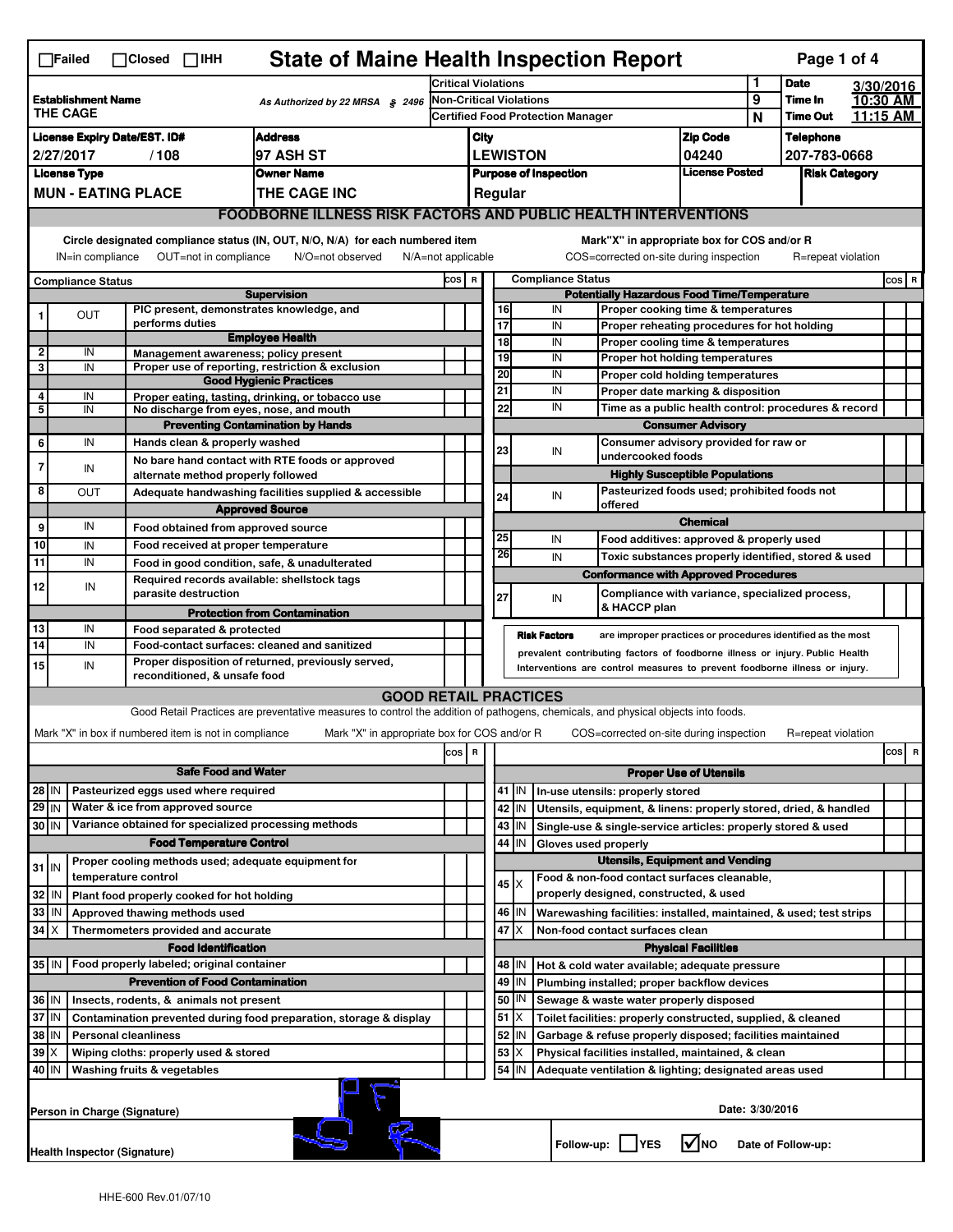|                                                                                                                                    | $\Box$ Failed                                                                                                                                                             |  | $\Box$ Closed $\Box$ IHH                                                        | <b>State of Maine Health Inspection Report</b>                                                                                    |                            |                                                                                                                   |                                                                                                                                                            |                          |                     |                                                                                        |                                                                   |        | Page 1 of 4                |  |                      |  |
|------------------------------------------------------------------------------------------------------------------------------------|---------------------------------------------------------------------------------------------------------------------------------------------------------------------------|--|---------------------------------------------------------------------------------|-----------------------------------------------------------------------------------------------------------------------------------|----------------------------|-------------------------------------------------------------------------------------------------------------------|------------------------------------------------------------------------------------------------------------------------------------------------------------|--------------------------|---------------------|----------------------------------------------------------------------------------------|-------------------------------------------------------------------|--------|----------------------------|--|----------------------|--|
|                                                                                                                                    |                                                                                                                                                                           |  |                                                                                 |                                                                                                                                   | <b>Critical Violations</b> |                                                                                                                   |                                                                                                                                                            |                          |                     | 1                                                                                      | <b>Date</b>                                                       |        | 3/30/2016                  |  |                      |  |
|                                                                                                                                    | <b>Establishment Name</b><br>As Authorized by 22 MRSA § 2496<br><b>THE CAGE</b>                                                                                           |  |                                                                                 |                                                                                                                                   |                            | Non-Critical Violations<br><b>Certified Food Protection Manager</b>                                               |                                                                                                                                                            |                          |                     |                                                                                        |                                                                   | 9<br>N | Time In<br><b>Time Out</b> |  | 10:30 AM<br>11:15 AM |  |
|                                                                                                                                    | <b>Address</b><br><b>License Expiry Date/EST. ID#</b>                                                                                                                     |  |                                                                                 |                                                                                                                                   |                            | City                                                                                                              |                                                                                                                                                            |                          |                     |                                                                                        | <b>Zip Code</b>                                                   |        | <b>Telephone</b>           |  |                      |  |
|                                                                                                                                    | 97 ASH ST<br>2/27/2017<br>/108                                                                                                                                            |  |                                                                                 |                                                                                                                                   |                            | <b>LEWISTON</b>                                                                                                   |                                                                                                                                                            |                          |                     |                                                                                        | 04240                                                             |        | 207-783-0668               |  |                      |  |
|                                                                                                                                    | <b>Owner Name</b><br><b>License Type</b>                                                                                                                                  |  |                                                                                 |                                                                                                                                   |                            | <b>License Posted</b><br><b>Purpose of Inspection</b>                                                             |                                                                                                                                                            |                          |                     |                                                                                        | <b>Risk Category</b>                                              |        |                            |  |                      |  |
|                                                                                                                                    | <b>MUN - EATING PLACE</b><br>THE CAGE INC                                                                                                                                 |  |                                                                                 |                                                                                                                                   |                            |                                                                                                                   |                                                                                                                                                            | Regular                  |                     |                                                                                        |                                                                   |        |                            |  |                      |  |
|                                                                                                                                    |                                                                                                                                                                           |  |                                                                                 | <b>FOODBORNE ILLNESS RISK FACTORS AND PUBLIC HEALTH INTERVENTIONS</b>                                                             |                            |                                                                                                                   |                                                                                                                                                            |                          |                     |                                                                                        |                                                                   |        |                            |  |                      |  |
|                                                                                                                                    |                                                                                                                                                                           |  |                                                                                 |                                                                                                                                   |                            |                                                                                                                   |                                                                                                                                                            |                          |                     |                                                                                        |                                                                   |        |                            |  |                      |  |
|                                                                                                                                    | Circle designated compliance status (IN, OUT, N/O, N/A) for each numbered item<br>OUT=not in compliance<br>N/O=not observed<br>IN=in compliance<br>$N/A = not$ applicable |  |                                                                                 |                                                                                                                                   |                            |                                                                                                                   |                                                                                                                                                            |                          |                     | Mark"X" in appropriate box for COS and/or R<br>COS=corrected on-site during inspection |                                                                   |        | R=repeat violation         |  |                      |  |
|                                                                                                                                    | <b>Compliance Status</b>                                                                                                                                                  |  |                                                                                 |                                                                                                                                   | COS R                      |                                                                                                                   |                                                                                                                                                            | <b>Compliance Status</b> |                     |                                                                                        |                                                                   |        |                            |  | COS R                |  |
| <b>Supervision</b><br>PIC present, demonstrates knowledge, and                                                                     |                                                                                                                                                                           |  |                                                                                 |                                                                                                                                   |                            |                                                                                                                   | <b>Potentially Hazardous Food Time/Temperature</b><br>16<br>IN<br>Proper cooking time & temperatures                                                       |                          |                     |                                                                                        |                                                                   |        |                            |  |                      |  |
|                                                                                                                                    | OUT                                                                                                                                                                       |  | performs duties                                                                 |                                                                                                                                   |                            |                                                                                                                   | 17                                                                                                                                                         |                          | IN                  | Proper reheating procedures for hot holding                                            |                                                                   |        |                            |  |                      |  |
|                                                                                                                                    |                                                                                                                                                                           |  |                                                                                 | <b>Employee Health</b>                                                                                                            |                            |                                                                                                                   |                                                                                                                                                            | 18                       | IN                  | Proper cooling time & temperatures                                                     |                                                                   |        |                            |  |                      |  |
| $\mathbf 2$<br>3                                                                                                                   | IN<br>IN                                                                                                                                                                  |  | Management awareness; policy present                                            | Proper use of reporting, restriction & exclusion                                                                                  |                            |                                                                                                                   |                                                                                                                                                            | 19                       | IN                  | Proper hot holding temperatures                                                        |                                                                   |        |                            |  |                      |  |
|                                                                                                                                    |                                                                                                                                                                           |  |                                                                                 | <b>Good Hygienic Practices</b>                                                                                                    |                            |                                                                                                                   |                                                                                                                                                            | 20                       | IN                  | Proper cold holding temperatures                                                       |                                                                   |        |                            |  |                      |  |
| 4                                                                                                                                  | IN                                                                                                                                                                        |  |                                                                                 | Proper eating, tasting, drinking, or tobacco use                                                                                  |                            |                                                                                                                   | 21                                                                                                                                                         |                          | IN<br>IN            | Proper date marking & disposition                                                      |                                                                   |        |                            |  |                      |  |
| 5                                                                                                                                  | IN                                                                                                                                                                        |  | No discharge from eyes, nose, and mouth                                         |                                                                                                                                   |                            |                                                                                                                   |                                                                                                                                                            | 22                       |                     | Time as a public health control: procedures & record                                   |                                                                   |        |                            |  |                      |  |
| 6                                                                                                                                  | IN                                                                                                                                                                        |  | Hands clean & properly washed                                                   | <b>Preventing Contamination by Hands</b>                                                                                          |                            |                                                                                                                   |                                                                                                                                                            |                          |                     |                                                                                        | <b>Consumer Advisory</b><br>Consumer advisory provided for raw or |        |                            |  |                      |  |
|                                                                                                                                    |                                                                                                                                                                           |  |                                                                                 | No bare hand contact with RTE foods or approved                                                                                   |                            |                                                                                                                   | 23                                                                                                                                                         |                          | IN                  | undercooked foods                                                                      |                                                                   |        |                            |  |                      |  |
| 7                                                                                                                                  | IN                                                                                                                                                                        |  | alternate method properly followed                                              |                                                                                                                                   |                            |                                                                                                                   |                                                                                                                                                            |                          |                     |                                                                                        | <b>Highly Susceptible Populations</b>                             |        |                            |  |                      |  |
| 8                                                                                                                                  | ΟUΤ                                                                                                                                                                       |  |                                                                                 | Adequate handwashing facilities supplied & accessible                                                                             |                            |                                                                                                                   | 24                                                                                                                                                         |                          | IN                  |                                                                                        | Pasteurized foods used; prohibited foods not                      |        |                            |  |                      |  |
|                                                                                                                                    |                                                                                                                                                                           |  |                                                                                 | <b>Approved Source</b>                                                                                                            |                            |                                                                                                                   |                                                                                                                                                            |                          |                     | offered                                                                                | <b>Chemical</b>                                                   |        |                            |  |                      |  |
| 9                                                                                                                                  | IN                                                                                                                                                                        |  | Food obtained from approved source                                              |                                                                                                                                   |                            |                                                                                                                   | 25                                                                                                                                                         |                          | IN                  | Food additives: approved & properly used                                               |                                                                   |        |                            |  |                      |  |
| 10                                                                                                                                 | IN                                                                                                                                                                        |  | Food received at proper temperature                                             |                                                                                                                                   |                            |                                                                                                                   |                                                                                                                                                            | 26                       | IN                  | Toxic substances properly identified, stored & used                                    |                                                                   |        |                            |  |                      |  |
| $\overline{11}$                                                                                                                    | IN                                                                                                                                                                        |  | Food in good condition, safe, & unadulterated                                   |                                                                                                                                   |                            |                                                                                                                   |                                                                                                                                                            |                          |                     | <b>Conformance with Approved Procedures</b>                                            |                                                                   |        |                            |  |                      |  |
| 12                                                                                                                                 | IN                                                                                                                                                                        |  | Required records available: shellstock tags<br>parasite destruction             |                                                                                                                                   |                            |                                                                                                                   | 27                                                                                                                                                         |                          | IN                  | Compliance with variance, specialized process,                                         |                                                                   |        |                            |  |                      |  |
|                                                                                                                                    |                                                                                                                                                                           |  |                                                                                 | <b>Protection from Contamination</b>                                                                                              |                            |                                                                                                                   |                                                                                                                                                            |                          |                     | & HACCP plan                                                                           |                                                                   |        |                            |  |                      |  |
| 13                                                                                                                                 | IN                                                                                                                                                                        |  | Food separated & protected                                                      |                                                                                                                                   |                            |                                                                                                                   |                                                                                                                                                            |                          | <b>Risk Factors</b> | are improper practices or procedures identified as the most                            |                                                                   |        |                            |  |                      |  |
| 14                                                                                                                                 | IN                                                                                                                                                                        |  | Food-contact surfaces: cleaned and sanitized                                    |                                                                                                                                   |                            |                                                                                                                   |                                                                                                                                                            |                          |                     |                                                                                        |                                                                   |        |                            |  |                      |  |
| 15                                                                                                                                 | IN                                                                                                                                                                        |  | reconditioned, & unsafe food                                                    | Proper disposition of returned, previously served,                                                                                |                            |                                                                                                                   | prevalent contributing factors of foodborne illness or injury. Public Health<br>Interventions are control measures to prevent foodborne illness or injury. |                          |                     |                                                                                        |                                                                   |        |                            |  |                      |  |
|                                                                                                                                    |                                                                                                                                                                           |  |                                                                                 | <b>GOOD RETAIL PRACTICES</b>                                                                                                      |                            |                                                                                                                   |                                                                                                                                                            |                          |                     |                                                                                        |                                                                   |        |                            |  |                      |  |
|                                                                                                                                    |                                                                                                                                                                           |  |                                                                                 | Good Retail Practices are preventative measures to control the addition of pathogens, chemicals, and physical objects into foods. |                            |                                                                                                                   |                                                                                                                                                            |                          |                     |                                                                                        |                                                                   |        |                            |  |                      |  |
|                                                                                                                                    |                                                                                                                                                                           |  | Mark "X" in box if numbered item is not in compliance                           | Mark "X" in appropriate box for COS and/or R                                                                                      |                            |                                                                                                                   |                                                                                                                                                            |                          |                     | COS=corrected on-site during inspection                                                |                                                                   |        | R=repeat violation         |  |                      |  |
|                                                                                                                                    |                                                                                                                                                                           |  |                                                                                 |                                                                                                                                   | cos                        | R                                                                                                                 |                                                                                                                                                            |                          |                     |                                                                                        |                                                                   |        |                            |  | cos<br>R             |  |
|                                                                                                                                    |                                                                                                                                                                           |  | <b>Safe Food and Water</b>                                                      |                                                                                                                                   |                            |                                                                                                                   |                                                                                                                                                            |                          |                     |                                                                                        | <b>Proper Use of Utensils</b>                                     |        |                            |  |                      |  |
|                                                                                                                                    | Pasteurized eggs used where required<br>28 IN                                                                                                                             |  |                                                                                 |                                                                                                                                   |                            |                                                                                                                   |                                                                                                                                                            | 41 J IN                  |                     | In-use utensils: properly stored                                                       |                                                                   |        |                            |  |                      |  |
| $29$ IN                                                                                                                            |                                                                                                                                                                           |  | Water & ice from approved source                                                |                                                                                                                                   |                            |                                                                                                                   |                                                                                                                                                            | 42<br>IN                 |                     | Utensils, equipment, & linens: properly stored, dried, & handled                       |                                                                   |        |                            |  |                      |  |
| 30 IN                                                                                                                              |                                                                                                                                                                           |  | Variance obtained for specialized processing methods                            |                                                                                                                                   |                            |                                                                                                                   |                                                                                                                                                            | 43<br>IN                 |                     | Single-use & single-service articles: properly stored & used                           |                                                                   |        |                            |  |                      |  |
|                                                                                                                                    |                                                                                                                                                                           |  | <b>Food Temperature Control</b>                                                 |                                                                                                                                   |                            |                                                                                                                   | 44<br>IN<br>Gloves used properly                                                                                                                           |                          |                     |                                                                                        |                                                                   |        |                            |  |                      |  |
| $31$ IN                                                                                                                            |                                                                                                                                                                           |  | Proper cooling methods used; adequate equipment for                             |                                                                                                                                   |                            |                                                                                                                   | <b>Utensils, Equipment and Vending</b>                                                                                                                     |                          |                     |                                                                                        |                                                                   |        |                            |  |                      |  |
|                                                                                                                                    |                                                                                                                                                                           |  | temperature control                                                             |                                                                                                                                   |                            |                                                                                                                   |                                                                                                                                                            | 45 X                     |                     | Food & non-food contact surfaces cleanable.                                            |                                                                   |        |                            |  |                      |  |
| 32                                                                                                                                 | IN                                                                                                                                                                        |  | Plant food properly cooked for hot holding                                      |                                                                                                                                   |                            |                                                                                                                   |                                                                                                                                                            |                          |                     | properly designed, constructed, & used                                                 |                                                                   |        |                            |  |                      |  |
| 33                                                                                                                                 | IN                                                                                                                                                                        |  | Approved thawing methods used                                                   |                                                                                                                                   |                            |                                                                                                                   |                                                                                                                                                            | 46 IN                    |                     | Warewashing facilities: installed, maintained, & used; test strips                     |                                                                   |        |                            |  |                      |  |
| 34                                                                                                                                 | ΙX                                                                                                                                                                        |  | Thermometers provided and accurate                                              |                                                                                                                                   |                            |                                                                                                                   | $47$ $\times$<br>Non-food contact surfaces clean                                                                                                           |                          |                     |                                                                                        |                                                                   |        |                            |  |                      |  |
|                                                                                                                                    |                                                                                                                                                                           |  | <b>Food Identification</b><br>35 IN   Food properly labeled; original container |                                                                                                                                   |                            |                                                                                                                   | <b>Physical Facilities</b><br>48   IN<br>Hot & cold water available; adequate pressure                                                                     |                          |                     |                                                                                        |                                                                   |        |                            |  |                      |  |
|                                                                                                                                    |                                                                                                                                                                           |  | <b>Prevention of Food Contamination</b>                                         |                                                                                                                                   |                            |                                                                                                                   | 49                                                                                                                                                         | IN                       |                     |                                                                                        |                                                                   |        |                            |  |                      |  |
|                                                                                                                                    |                                                                                                                                                                           |  |                                                                                 |                                                                                                                                   |                            |                                                                                                                   |                                                                                                                                                            | 50   IN                  |                     | Plumbing installed; proper backflow devices                                            |                                                                   |        |                            |  |                      |  |
| 36 IN<br>Insects, rodents, & animals not present<br>37<br>IN<br>Contamination prevented during food preparation, storage & display |                                                                                                                                                                           |  |                                                                                 |                                                                                                                                   |                            | Sewage & waste water properly disposed<br>51<br>X<br>Toilet facilities: properly constructed, supplied, & cleaned |                                                                                                                                                            |                          |                     |                                                                                        |                                                                   |        |                            |  |                      |  |
| 38<br>IN<br><b>Personal cleanliness</b>                                                                                            |                                                                                                                                                                           |  |                                                                                 |                                                                                                                                   |                            |                                                                                                                   | 52<br>IN<br>Garbage & refuse properly disposed; facilities maintained                                                                                      |                          |                     |                                                                                        |                                                                   |        |                            |  |                      |  |
| 39<br>Wiping cloths: properly used & stored                                                                                        |                                                                                                                                                                           |  |                                                                                 |                                                                                                                                   |                            |                                                                                                                   |                                                                                                                                                            | 53<br>х                  |                     | Physical facilities installed, maintained, & clean                                     |                                                                   |        |                            |  |                      |  |
| 40 IN                                                                                                                              |                                                                                                                                                                           |  | Washing fruits & vegetables                                                     |                                                                                                                                   |                            |                                                                                                                   |                                                                                                                                                            | 54<br>IN                 |                     | Adequate ventilation & lighting; designated areas used                                 |                                                                   |        |                            |  |                      |  |
|                                                                                                                                    | Date: 3/30/2016<br>Person in Charge (Signature)                                                                                                                           |  |                                                                                 |                                                                                                                                   |                            |                                                                                                                   |                                                                                                                                                            |                          |                     |                                                                                        |                                                                   |        |                            |  |                      |  |
|                                                                                                                                    | Follow-up:     YES<br>l✔lno<br>Date of Follow-up:<br><b>Health Inspector (Signature)</b>                                                                                  |  |                                                                                 |                                                                                                                                   |                            |                                                                                                                   |                                                                                                                                                            |                          |                     |                                                                                        |                                                                   |        |                            |  |                      |  |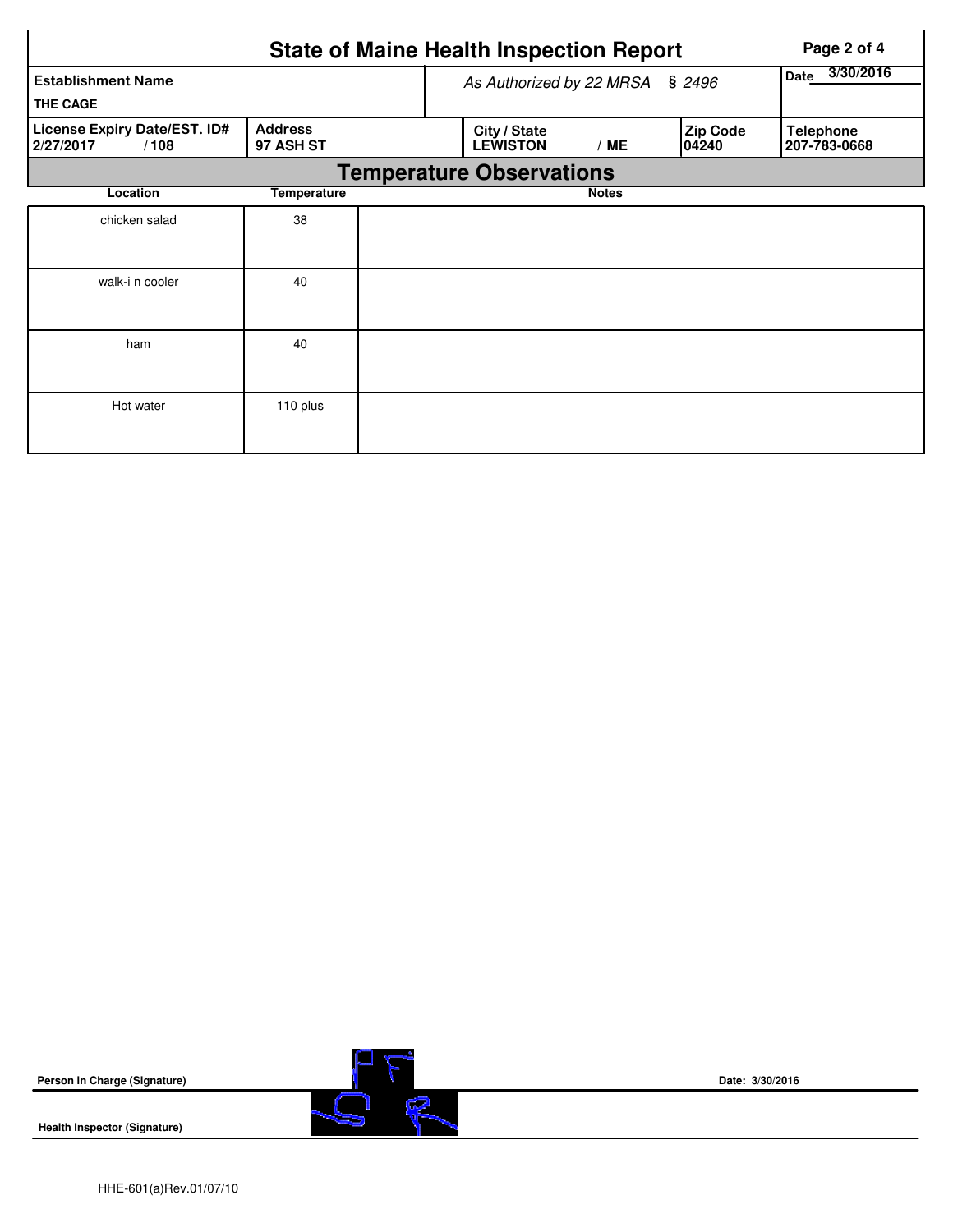|                                                   | <b>State of Maine Health Inspection Report</b> |                   |                                 | Page 2 of 4  |                           |                                  |
|---------------------------------------------------|------------------------------------------------|-------------------|---------------------------------|--------------|---------------------------|----------------------------------|
| <b>Establishment Name</b><br><b>THE CAGE</b>      | As Authorized by 22 MRSA § 2496                | 3/30/2016<br>Date |                                 |              |                           |                                  |
| License Expiry Date/EST. ID#<br>2/27/2017<br>/108 | <b>Address</b><br>97 ASH ST                    |                   | City / State<br><b>LEWISTON</b> | /ME          | <b>Zip Code</b><br>104240 | <b>Telephone</b><br>207-783-0668 |
|                                                   |                                                |                   | <b>Temperature Observations</b> |              |                           |                                  |
| Location                                          | <b>Temperature</b>                             |                   |                                 | <b>Notes</b> |                           |                                  |
| chicken salad                                     | 38                                             |                   |                                 |              |                           |                                  |
| walk-i n cooler                                   | 40                                             |                   |                                 |              |                           |                                  |
| ham                                               | 40                                             |                   |                                 |              |                           |                                  |
| Hot water                                         | 110 plus                                       |                   |                                 |              |                           |                                  |

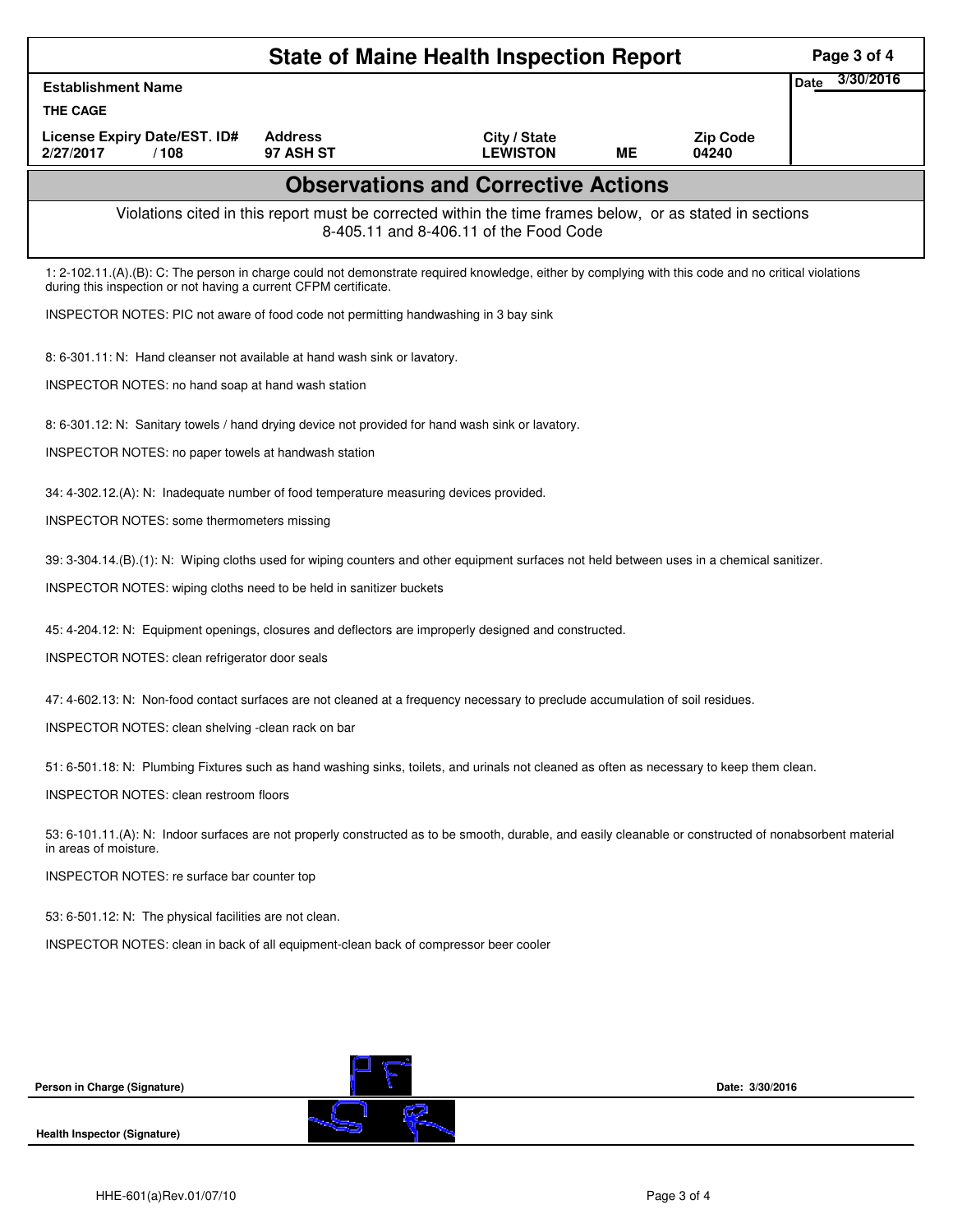| <b>State of Maine Health Inspection Report</b><br>Page 3 of 4                                                                                                                     |                                                                                                                                                                                                                          |                                            |           |                 |                          |  |  |  |  |
|-----------------------------------------------------------------------------------------------------------------------------------------------------------------------------------|--------------------------------------------------------------------------------------------------------------------------------------------------------------------------------------------------------------------------|--------------------------------------------|-----------|-----------------|--------------------------|--|--|--|--|
| <b>Establishment Name</b>                                                                                                                                                         |                                                                                                                                                                                                                          |                                            |           |                 | 3/30/2016<br><b>Date</b> |  |  |  |  |
| <b>THE CAGE</b><br><b>License Expiry Date/EST. ID#</b>                                                                                                                            | <b>Address</b>                                                                                                                                                                                                           |                                            |           | <b>Zip Code</b> |                          |  |  |  |  |
| 2/27/2017<br>/108                                                                                                                                                                 | 97 ASH ST                                                                                                                                                                                                                | City / State<br><b>LEWISTON</b>            | <b>ME</b> | 04240           |                          |  |  |  |  |
|                                                                                                                                                                                   |                                                                                                                                                                                                                          | <b>Observations and Corrective Actions</b> |           |                 |                          |  |  |  |  |
|                                                                                                                                                                                   | Violations cited in this report must be corrected within the time frames below, or as stated in sections<br>8-405.11 and 8-406.11 of the Food Code                                                                       |                                            |           |                 |                          |  |  |  |  |
|                                                                                                                                                                                   | 1: 2-102.11.(A).(B): C: The person in charge could not demonstrate required knowledge, either by complying with this code and no critical violations<br>during this inspection or not having a current CFPM certificate. |                                            |           |                 |                          |  |  |  |  |
| INSPECTOR NOTES: PIC not aware of food code not permitting handwashing in 3 bay sink                                                                                              |                                                                                                                                                                                                                          |                                            |           |                 |                          |  |  |  |  |
| 8: 6-301.11: N: Hand cleanser not available at hand wash sink or lavatory.                                                                                                        |                                                                                                                                                                                                                          |                                            |           |                 |                          |  |  |  |  |
|                                                                                                                                                                                   | INSPECTOR NOTES: no hand soap at hand wash station                                                                                                                                                                       |                                            |           |                 |                          |  |  |  |  |
| 8: 6-301.12: N: Sanitary towels / hand drying device not provided for hand wash sink or lavatory.                                                                                 |                                                                                                                                                                                                                          |                                            |           |                 |                          |  |  |  |  |
| INSPECTOR NOTES: no paper towels at handwash station                                                                                                                              |                                                                                                                                                                                                                          |                                            |           |                 |                          |  |  |  |  |
|                                                                                                                                                                                   | 34: 4-302.12.(A): N: Inadequate number of food temperature measuring devices provided.                                                                                                                                   |                                            |           |                 |                          |  |  |  |  |
|                                                                                                                                                                                   | INSPECTOR NOTES: some thermometers missing                                                                                                                                                                               |                                            |           |                 |                          |  |  |  |  |
|                                                                                                                                                                                   | 39: 3-304.14.(B).(1): N: Wiping cloths used for wiping counters and other equipment surfaces not held between uses in a chemical sanitizer.                                                                              |                                            |           |                 |                          |  |  |  |  |
|                                                                                                                                                                                   | INSPECTOR NOTES: wiping cloths need to be held in sanitizer buckets                                                                                                                                                      |                                            |           |                 |                          |  |  |  |  |
|                                                                                                                                                                                   | 45: 4-204.12: N: Equipment openings, closures and deflectors are improperly designed and constructed.                                                                                                                    |                                            |           |                 |                          |  |  |  |  |
| INSPECTOR NOTES: clean refrigerator door seals                                                                                                                                    |                                                                                                                                                                                                                          |                                            |           |                 |                          |  |  |  |  |
| 47: 4-602.13: N: Non-food contact surfaces are not cleaned at a frequency necessary to preclude accumulation of soil residues.                                                    |                                                                                                                                                                                                                          |                                            |           |                 |                          |  |  |  |  |
| INSPECTOR NOTES: clean shelving -clean rack on bar                                                                                                                                |                                                                                                                                                                                                                          |                                            |           |                 |                          |  |  |  |  |
|                                                                                                                                                                                   | 51: 6-501.18: N: Plumbing Fixtures such as hand washing sinks, toilets, and urinals not cleaned as often as necessary to keep them clean.                                                                                |                                            |           |                 |                          |  |  |  |  |
| <b>INSPECTOR NOTES: clean restroom floors</b>                                                                                                                                     |                                                                                                                                                                                                                          |                                            |           |                 |                          |  |  |  |  |
| 53: 6-101.11.(A): N: Indoor surfaces are not properly constructed as to be smooth, durable, and easily cleanable or constructed of nonabsorbent material<br>in areas of moisture. |                                                                                                                                                                                                                          |                                            |           |                 |                          |  |  |  |  |
| INSPECTOR NOTES: re surface bar counter top                                                                                                                                       |                                                                                                                                                                                                                          |                                            |           |                 |                          |  |  |  |  |
| 53: 6-501.12: N: The physical facilities are not clean.                                                                                                                           |                                                                                                                                                                                                                          |                                            |           |                 |                          |  |  |  |  |
| INSPECTOR NOTES: clean in back of all equipment-clean back of compressor beer cooler                                                                                              |                                                                                                                                                                                                                          |                                            |           |                 |                          |  |  |  |  |
|                                                                                                                                                                                   |                                                                                                                                                                                                                          |                                            |           |                 |                          |  |  |  |  |
|                                                                                                                                                                                   |                                                                                                                                                                                                                          |                                            |           |                 |                          |  |  |  |  |
|                                                                                                                                                                                   |                                                                                                                                                                                                                          |                                            |           |                 |                          |  |  |  |  |
| Person in Charge (Signature)                                                                                                                                                      |                                                                                                                                                                                                                          |                                            |           | Date: 3/30/2016 |                          |  |  |  |  |
|                                                                                                                                                                                   |                                                                                                                                                                                                                          |                                            |           |                 |                          |  |  |  |  |
| Health Inspector (Signature)                                                                                                                                                      |                                                                                                                                                                                                                          |                                            |           |                 |                          |  |  |  |  |